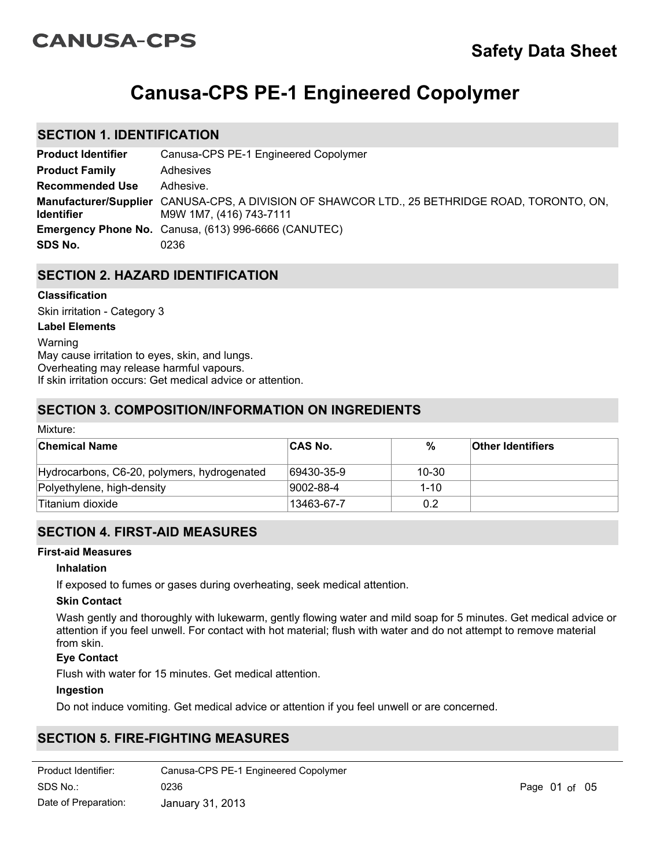# **CANUSA-CPS**

# **Canusa-CPS PE-1 Engineered Copolymer**

# **SECTION 1. IDENTIFICATION**

| <b>Product Identifier</b> | Canusa-CPS PE-1 Engineered Copolymer                                                                                     |
|---------------------------|--------------------------------------------------------------------------------------------------------------------------|
| <b>Product Family</b>     | Adhesives                                                                                                                |
| <b>Recommended Use</b>    | Adhesive.                                                                                                                |
| <b>Identifier</b>         | Manufacturer/Supplier CANUSA-CPS, A DIVISION OF SHAWCOR LTD., 25 BETHRIDGE ROAD, TORONTO, ON,<br>M9W 1M7, (416) 743-7111 |
|                           | <b>Emergency Phone No.</b> Canusa, (613) 996-6666 (CANUTEC)                                                              |
| SDS No.                   | 0236                                                                                                                     |

# **SECTION 2. HAZARD IDENTIFICATION**

## **Classification**

Skin irritation - Category 3

#### **Label Elements**

Warning May cause irritation to eyes, skin, and lungs. Overheating may release harmful vapours. If skin irritation occurs: Get medical advice or attention.

# **SECTION 3. COMPOSITION/INFORMATION ON INGREDIENTS**

| Mixture:                                    |                |          |                          |  |
|---------------------------------------------|----------------|----------|--------------------------|--|
| <b>Chemical Name</b>                        | <b>CAS No.</b> | %        | <b>Other Identifiers</b> |  |
| Hydrocarbons, C6-20, polymers, hydrogenated | 69430-35-9     | 10-30    |                          |  |
| Polyethylene, high-density                  | 9002-88-4      | $1 - 10$ |                          |  |
| Titanium dioxide                            | 13463-67-7     | 0.2      |                          |  |

# **SECTION 4. FIRST-AID MEASURES**

#### **First-aid Measures**

#### **Inhalation**

If exposed to fumes or gases during overheating, seek medical attention.

#### **Skin Contact**

Wash gently and thoroughly with lukewarm, gently flowing water and mild soap for 5 minutes. Get medical advice or attention if you feel unwell. For contact with hot material; flush with water and do not attempt to remove material from skin.

## **Eye Contact**

Flush with water for 15 minutes. Get medical attention.

#### **Ingestion**

Do not induce vomiting. Get medical advice or attention if you feel unwell or are concerned.

# **SECTION 5. FIRE-FIGHTING MEASURES**

| Product Identifier:  | Canusa-CPS PE-1 Engineered Copolymer |
|----------------------|--------------------------------------|
| SDS No.:             | 0236                                 |
| Date of Preparation: | January 31, 2013                     |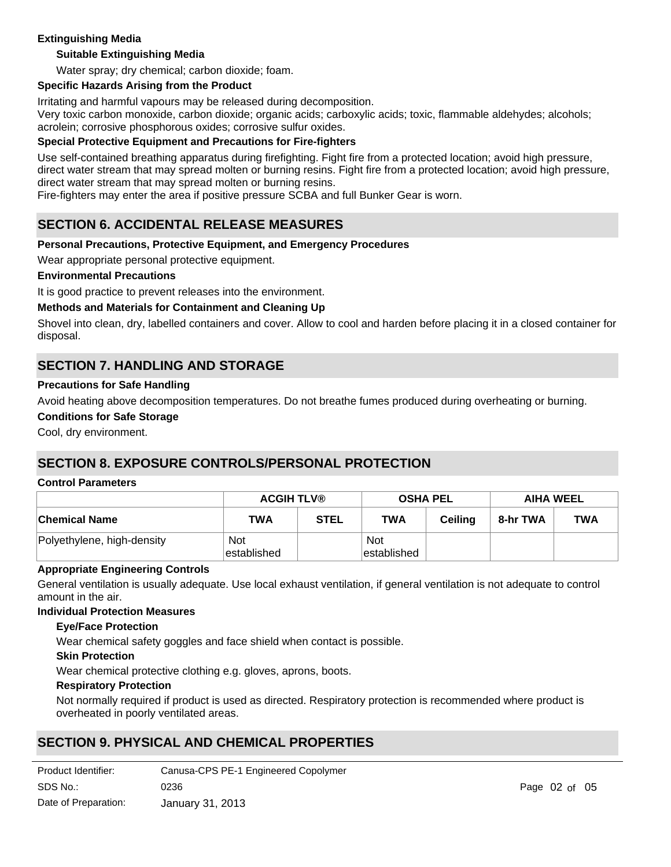## **Extinguishing Media**

## **Suitable Extinguishing Media**

Water spray; dry chemical; carbon dioxide; foam.

#### **Specific Hazards Arising from the Product**

Irritating and harmful vapours may be released during decomposition.

Very toxic carbon monoxide, carbon dioxide; organic acids; carboxylic acids; toxic, flammable aldehydes; alcohols; acrolein; corrosive phosphorous oxides; corrosive sulfur oxides.

#### **Special Protective Equipment and Precautions for Fire-fighters**

Use self-contained breathing apparatus during firefighting. Fight fire from a protected location; avoid high pressure, direct water stream that may spread molten or burning resins. Fight fire from a protected location; avoid high pressure, direct water stream that may spread molten or burning resins.

Fire-fighters may enter the area if positive pressure SCBA and full Bunker Gear is worn.

## **SECTION 6. ACCIDENTAL RELEASE MEASURES**

#### **Personal Precautions, Protective Equipment, and Emergency Procedures**

Wear appropriate personal protective equipment.

#### **Environmental Precautions**

It is good practice to prevent releases into the environment.

## **Methods and Materials for Containment and Cleaning Up**

Shovel into clean, dry, labelled containers and cover. Allow to cool and harden before placing it in a closed container for disposal.

# **SECTION 7. HANDLING AND STORAGE**

#### **Precautions for Safe Handling**

Avoid heating above decomposition temperatures. Do not breathe fumes produced during overheating or burning.

#### **Conditions for Safe Storage**

Cool, dry environment.

# **SECTION 8. EXPOSURE CONTROLS/PERSONAL PROTECTION**

#### **Control Parameters**

|                            | <b>ACGIH TLV®</b>         |             | <b>OSHA PEL</b>            |                | <b>AIHA WEEL</b> |            |
|----------------------------|---------------------------|-------------|----------------------------|----------------|------------------|------------|
| <b>Chemical Name</b>       | TWA                       | <b>STEL</b> | <b>TWA</b>                 | <b>Ceiling</b> | 8-hr TWA         | <b>TWA</b> |
| Polyethylene, high-density | <b>Not</b><br>established |             | <b>Not</b><br>lestablished |                |                  |            |

#### **Appropriate Engineering Controls**

General ventilation is usually adequate. Use local exhaust ventilation, if general ventilation is not adequate to control amount in the air.

#### **Individual Protection Measures**

#### **Eye/Face Protection**

Wear chemical safety goggles and face shield when contact is possible.

#### **Skin Protection**

Wear chemical protective clothing e.g. gloves, aprons, boots.

#### **Respiratory Protection**

Not normally required if product is used as directed. Respiratory protection is recommended where product is overheated in poorly ventilated areas.

# **SECTION 9. PHYSICAL AND CHEMICAL PROPERTIES**

| Product Identifier:  | Canusa-CPS PE-1 Engineered Copolymer |
|----------------------|--------------------------------------|
| SDS No.:             | 0236                                 |
| Date of Preparation: | January 31, 2013                     |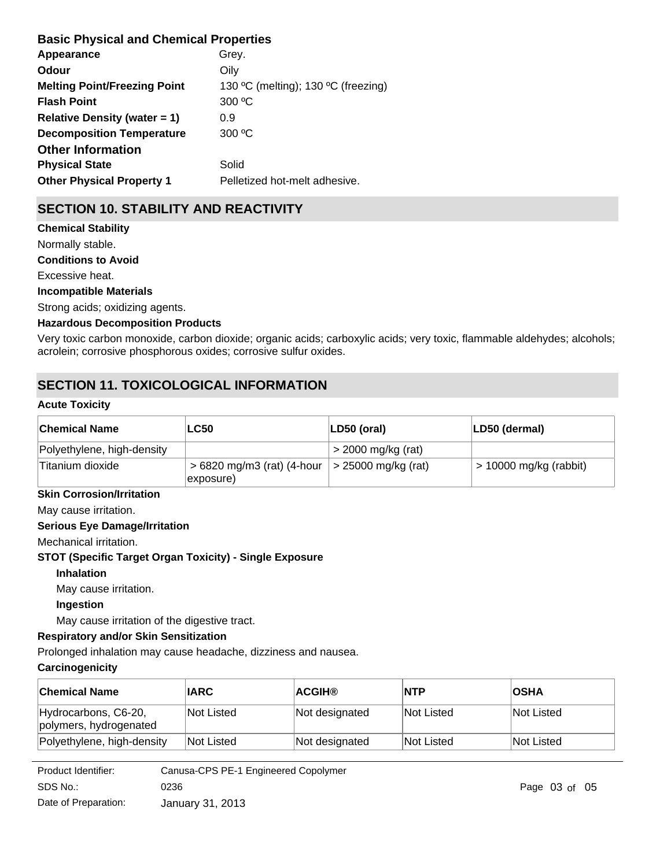# **Basic Physical and Chemical Properties**

| Appearance                          | Grey.                               |
|-------------------------------------|-------------------------------------|
| Odour                               | Oily                                |
| <b>Melting Point/Freezing Point</b> | 130 °C (melting); 130 °C (freezing) |
| <b>Flash Point</b>                  | 300 °C                              |
| Relative Density (water $= 1$ )     | 0.9                                 |
| <b>Decomposition Temperature</b>    | 300 °C                              |
| <b>Other Information</b>            |                                     |
| <b>Physical State</b>               | Solid                               |
| <b>Other Physical Property 1</b>    | Pelletized hot-melt adhesive.       |
|                                     |                                     |

# **SECTION 10. STABILITY AND REACTIVITY**

## **Chemical Stability** Normally stable.

**Conditions to Avoid**

Excessive heat.

## **Incompatible Materials**

Strong acids; oxidizing agents.

## **Hazardous Decomposition Products**

Very toxic carbon monoxide, carbon dioxide; organic acids; carboxylic acids; very toxic, flammable aldehydes; alcohols; acrolein; corrosive phosphorous oxides; corrosive sulfur oxides.

# **SECTION 11. TOXICOLOGICAL INFORMATION**

## **Acute Toxicity**

| <b>Chemical Name</b>       | <b>LC50</b>                                            | $ LD50$ (oral)              | LD50 (dermal)            |
|----------------------------|--------------------------------------------------------|-----------------------------|--------------------------|
| Polyethylene, high-density |                                                        | $>$ 2000 mg/kg (rat)        |                          |
| 'Titanium dioxide          | $>6820$ mg/m3 (rat) (4-hour<br>$\ket{\text{exposure}}$ | $\vert$ > 25000 mg/kg (rat) | $> 10000$ mg/kg (rabbit) |

## **Skin Corrosion/Irritation**

May cause irritation.

## **Serious Eye Damage/Irritation**

Mechanical irritation.

**STOT (Specific Target Organ Toxicity) - Single Exposure**

#### **Inhalation**

May cause irritation.

## **Ingestion**

May cause irritation of the digestive tract.

## **Respiratory and/or Skin Sensitization**

Prolonged inhalation may cause headache, dizziness and nausea.

## **Carcinogenicity**

| <b>Chemical Name</b>                           | <b>IARC</b> | <b>ACGIH®</b>  | <b>NTP</b> | <b>OSHA</b> |
|------------------------------------------------|-------------|----------------|------------|-------------|
| Hydrocarbons, C6-20,<br>polymers, hydrogenated | Not Listed  | Not designated | Not Listed | Not Listed  |
| Polyethylene, high-density                     | Not Listed  | Not designated | Not Listed | Not Listed  |

| Product Identifier:  | Canusa-CPS PE-1 Engineered Copolymer |
|----------------------|--------------------------------------|
| SDS No.:             | 0236                                 |
| Date of Preparation: | January 31, 2013                     |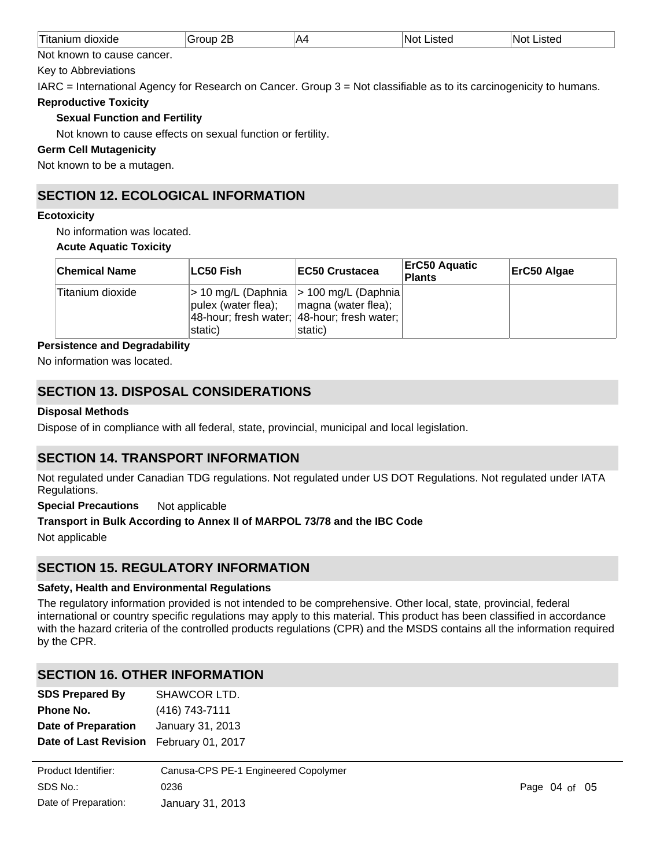| AД<br>.<br>W<br><u>т.</u> |  |
|---------------------------|--|
|---------------------------|--|

Not known to cause cancer.

Key to Abbreviations

IARC = International Agency for Research on Cancer. Group 3 = Not classifiable as to its carcinogenicity to humans.

**Reproductive Toxicity**

## **Sexual Function and Fertility**

Not known to cause effects on sexual function or fertility.

#### **Germ Cell Mutagenicity**

Not known to be a mutagen.

# **SECTION 12. ECOLOGICAL INFORMATION**

#### **Ecotoxicity**

No information was located. **Acute Aquatic Toxicity**

| <b>Chemical Name</b> | ∣LC50 Fish∣                    | <b>IEC50 Crustacea</b>                                                                                                       | <b>ErC50 Aquatic</b><br><b>Plants</b> | ErC50 Algae |
|----------------------|--------------------------------|------------------------------------------------------------------------------------------------------------------------------|---------------------------------------|-------------|
| Titanium dioxide     | pulex (water flea);<br>static) | $>$ 10 mg/L (Daphnia $>$ 100 mg/L (Daphnia)<br>magna (water flea);<br>48-hour; fresh water; 48-hour; fresh water;<br>static) |                                       |             |

## **Persistence and Degradability**

No information was located.

# **SECTION 13. DISPOSAL CONSIDERATIONS**

## **Disposal Methods**

Dispose of in compliance with all federal, state, provincial, municipal and local legislation.

# **SECTION 14. TRANSPORT INFORMATION**

Not regulated under Canadian TDG regulations. Not regulated under US DOT Regulations. Not regulated under IATA Regulations.

**Special Precautions** Not applicable

#### **Transport in Bulk According to Annex II of MARPOL 73/78 and the IBC Code**

Not applicable

# **SECTION 15. REGULATORY INFORMATION**

#### **Safety, Health and Environmental Regulations**

The regulatory information provided is not intended to be comprehensive. Other local, state, provincial, federal international or country specific regulations may apply to this material. This product has been classified in accordance with the hazard criteria of the controlled products regulations (CPR) and the MSDS contains all the information required by the CPR.

# **SECTION 16. OTHER INFORMATION**

| <b>SDS Prepared By</b>       | SHAWCOR LTD.             |
|------------------------------|--------------------------|
| Phone No.                    | (416) 743-7111           |
| <b>Date of Preparation</b>   | January 31, 2013         |
| <b>Date of Last Revision</b> | <b>February 01, 2017</b> |

| Product Identifier:  | Canusa-CPS PE-1 Engineered Copolymer |
|----------------------|--------------------------------------|
| SDS No.:             | 0236                                 |
| Date of Preparation: | January 31, 2013                     |

**Key to Abbreviations** HSDB® = Hazardous Substances Data Bank